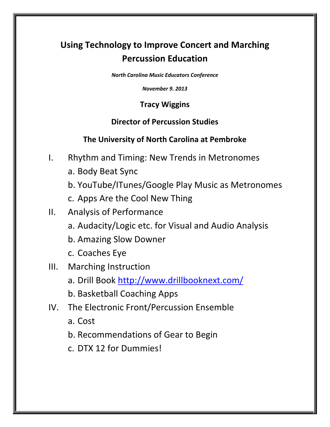# Using Technology to Improve Concert and Marching Percussion Education

North Carolina Music Educators Conference

November 9. 2013

#### Tracy Wiggins

#### Director of Percussion Studies

#### The University of North Carolina at Pembroke

- I. Rhythm and Timing: New Trends in Metronomes
	- a. Body Beat Sync
	- b. YouTube/ITunes/Google Play Music as Metronomes
	- c. Apps Are the Cool New Thing
- II. Analysis of Performance
	- a. Audacity/Logic etc. for Visual and Audio Analysis
	- b. Amazing Slow Downer
	- c. Coaches Eye

### III. Marching Instruction

- a. Drill Book http://www.drillbooknext.com/
- b. Basketball Coaching Apps
- IV. The Electronic Front/Percussion Ensemble
	- a. Cost
	- b. Recommendations of Gear to Begin
	- c. DTX 12 for Dummies!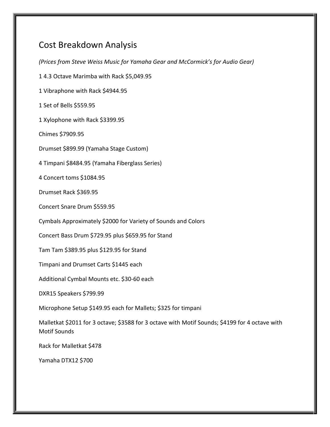## Cost Breakdown Analysis

(Prices from Steve Weiss Music for Yamaha Gear and McCormick's for Audio Gear) 1 4.3 Octave Marimba with Rack \$5,049.95 1 Vibraphone with Rack \$4944.95 1 Set of Bells \$559.95 1 Xylophone with Rack \$3399.95 Chimes \$7909.95 Drumset \$899.99 (Yamaha Stage Custom) 4 Timpani \$8484.95 (Yamaha Fiberglass Series) 4 Concert toms \$1084.95 Drumset Rack \$369.95 Concert Snare Drum \$559.95 Cymbals Approximately \$2000 for Variety of Sounds and Colors Concert Bass Drum \$729.95 plus \$659.95 for Stand Tam Tam \$389.95 plus \$129.95 for Stand Timpani and Drumset Carts \$1445 each Additional Cymbal Mounts etc. \$30-60 each DXR15 Speakers \$799.99 Microphone Setup \$149.95 each for Mallets; \$325 for timpani Malletkat \$2011 for 3 octave; \$3588 for 3 octave with Motif Sounds; \$4199 for 4 octave with Motif Sounds Rack for Malletkat \$478 Yamaha DTX12 \$700